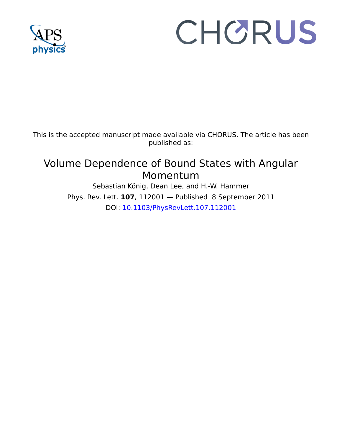

## CHORUS

This is the accepted manuscript made available via CHORUS. The article has been published as:

## Volume Dependence of Bound States with Angular Momentum

Sebastian König, Dean Lee, and H.-W. Hammer Phys. Rev. Lett. **107**, 112001 — Published 8 September 2011 DOI: [10.1103/PhysRevLett.107.112001](http://dx.doi.org/10.1103/PhysRevLett.107.112001)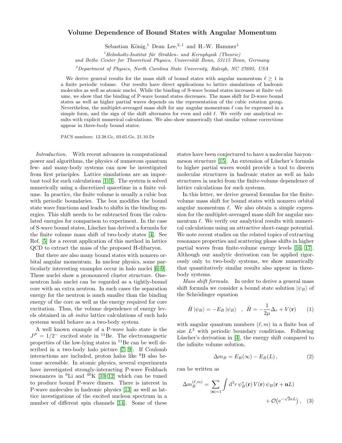## Volume Dependence of Bound States with Angular Momentum

Sebastian König,<sup>1</sup> Dean Lee,<sup>2,1</sup> and H.-W. Hammer<sup>1</sup>

 $1$ Helmholtz-Institut für Strahlen- und Kernphysik (Theorie)

and Bethe Center for Theoretical Physics, Universität Bonn, 53115 Bonn, Germany

<sup>2</sup>Department of Physics, North Carolina State University, Raleigh, NC 27695, USA

We derive general results for the mass shift of bound states with angular momentum  $\ell \geq 1$  in a finite periodic volume. Our results have direct applications to lattice simulations of hadronic molecules as well as atomic nuclei. While the binding of S-wave bound states increases at finite volume, we show that the binding of P-wave bound states decreases. The mass shift for D-wave bound states as well as higher partial waves depends on the representation of the cubic rotation group. Nevertheless, the multiplet-averaged mass shift for any angular momentum  $\ell$  can be expressed in a simple form, and the sign of the shift alternates for even and odd  $\ell$ . We verify our analytical results with explicit numerical calculations. We also show numerically that similar volume corrections appear in three-body bound states.

PACS numbers: 12.38.Gc, 03.65.Ge, 21.10.Dr

Introduction. With recent advances in computational power and algorithms, the physics of numerous quantum few- and many-body systems can now be investigated from first principles. Lattice simulations are an important tool for such calculations [\[1–](#page-4-0)[3\]](#page-4-1). The system is solved numerically using a discretized spacetime in a finite volume. In practice, the finite volume is usually a cubic box with periodic boundaries. The box modifies the bound state wave functions and leads to shifts in the binding energies. This shift needs to be subtracted from the calculated energies for comparison to experiment. In the case of S-wave bound states, L¨uscher has derived a formula for the finite volume mass shift of two-body states [\[4\]](#page-4-2). See Ref. [\[5\]](#page-4-3) for a recent application of this method in lattice QCD to extract the mass of the proposed H-dibaryon.

But there are also many bound states with nonzero orbital angular momentum. In nuclear physics, some particularly interesting examples occur in halo nuclei [\[6–](#page-4-4)[9\]](#page-4-5). These nuclei show a pronounced cluster structure. Oneneutron halo nuclei can be regarded as a tightly-bound core with an extra neutron. In such cases the separation energy for the neutron is much smaller than the binding energy of the core as well as the energy required for core excitation. Thus, the volume dependence of energy levels obtained in ab initio lattice calculations of such halo systems would behave as a two-body system.

A well known example of a P-wave halo state is the  $J<sup>P</sup> = 1/2^-$  excited state in <sup>11</sup>Be. The electromagnetic properties of the low-lying states in <sup>11</sup>Be can be well described in a two-body halo picture [\[7,](#page-4-6) [9\]](#page-4-5). If Coulomb interactions are included, proton halos like <sup>8</sup>B also become accessible. In atomic physics, several experiments have investigated strongly-interacting P-wave Feshbach resonances in  ${}^{6}$ Li and  ${}^{40}$ K [\[10–](#page-4-7)[12\]](#page-4-8) which can be tuned to produce bound P-wave dimers. There is interest in P-wave molecules in hadronic physics [\[13\]](#page-4-9) as well as lattice investigations of the excited nucleon spectrum in a number of different spin channels [\[14\]](#page-4-10). Some of these states have been conjectured to have a molecular baryon– meson structure [\[15\]](#page-4-11). An extension of Lüscher's formula to higher partial waves would provide a tool to discern molecular structures in hadronic states as well as halo structures in nuclei from the finite-volume dependence of lattice calculations for such systems.

In this letter, we derive general formulas for the finitevolume mass shift for bound states with nonzero orbital angular momentum  $\ell$ . We also obtain a simple expression for the multiplet-averaged mass shift for angular momentum  $\ell$ . We verify our analytical results with numerical calculations using an attractive short-range potential. We note recent studies on the related topics of extracting resonance properties and scattering phase shifts in higher partial waves from finite-volume energy levels [\[16,](#page-4-12) [17\]](#page-4-13). Although our analytic derivation can be applied rigorously only to two-body systems, we show numerically that quantitatively similar results also appear in threebody systems.

Mass shift formula. In order to derive a general mass shift formula we consider a bound state solution  $|\psi_B\rangle$  of the Schrödinger equation

$$
\hat{H} |\psi_B\rangle = -E_B |\psi_B\rangle \quad , \quad \hat{H} = -\frac{1}{2\mu} \Delta_r + V(\mathbf{r}) \tag{1}
$$

with angular quantum numbers  $(\ell, m)$  in a finite box of size  $L^3$  with periodic boundary conditions. Following Lüscher's derivation in  $[4]$ , the energy shift compared to the infinite volume solution,

<span id="page-1-1"></span><span id="page-1-0"></span>
$$
\Delta m_B = E_B(\infty) - E_B(L), \qquad (2)
$$

can be written as

$$
\Delta m_B^{(\ell,m)} = \sum_{|\mathbf{n}|=1} \int \mathrm{d}^3 r \, \psi_B^*(\mathbf{r}) \, V(\mathbf{r}) \, \psi_B(\mathbf{r} + \mathbf{n}L) + \mathcal{O}(\mathrm{e}^{-\sqrt{2}\kappa L}), \quad (3)
$$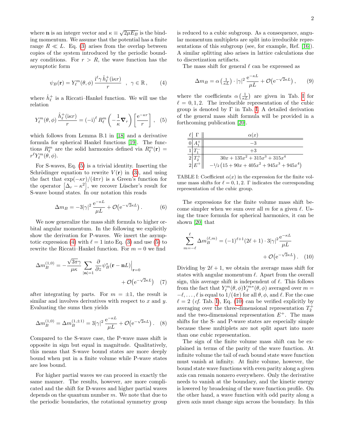where **n** is an integer vector and  $\kappa \equiv \sqrt{2\mu E_B}$  is the binding momentum. We assume that the potential has a finite range  $R \ll L$ . Eq. [\(3\)](#page-1-0) arises from the overlap between copies of the system introduced by the periodic boundary conditions. For  $r > R$ , the wave function has the asymptotic form

<span id="page-2-1"></span>
$$
\psi_B(\mathbf{r}) = Y_{\ell}^m(\theta, \phi) \frac{\mathrm{i}^{\ell} \gamma \hat{h}_{\ell}^+(\mathrm{i}\kappa r)}{r} \quad , \quad \gamma \in \mathbb{R} \,, \tag{4}
$$

where  $\hat{h}_{\ell}^{+}$  is a Riccati–Hankel function. We will use the relation

<span id="page-2-0"></span>
$$
Y_{\ell}^{m}(\theta,\phi)\,\frac{\hat{h}_{\ell}^{+}(\mathrm{i}\kappa r)}{r} = (-\mathrm{i})^{\ell} \,R_{\ell}^{m}\left(-\frac{1}{\kappa}\mathbf{\nabla}_{r}\right)\left[\frac{\mathrm{e}^{-\kappa r}}{r}\right],\quad(5)
$$

which follows from Lemma B.1 in [\[18\]](#page-4-14) and a derivative formula for spherical Hankel functions [\[19\]](#page-4-15). The functions  $R_\ell^m$  are the solid harmonics defined via  $R_\ell^m(\mathbf{r}) =$  $r^{\ell} Y_{\ell}^{m}(\theta, \phi)$ .

For S-waves, Eq. [\(5\)](#page-2-0) is a trivial identity. Inserting the Schrödinger equation to rewrite  $V(\mathbf{r})$  in [\(3\)](#page-1-0), and using the fact that  $\exp(-\kappa r)/(4\pi r)$  is a Green's function for the operator  $[\Delta_r - \kappa^2]$ , we recover Lüscher's result for S-wave bound states. In our notation this reads

<span id="page-2-4"></span>
$$
\Delta m_B = -3|\gamma|^2 \frac{\mathrm{e}^{-\kappa L}}{\mu L} + \mathcal{O}(\mathrm{e}^{-\sqrt{2}\kappa L})\,. \tag{6}
$$

We now generalize the mass shift formula to higher orbital angular momentum. In the following we explicitly show the derivation for P-waves. We insert the asymp-totic expression [\(4\)](#page-2-1) with  $\ell = 1$  into Eq. [\(3\)](#page-1-0) and use [\(5\)](#page-2-0) to rewrite the Riccati–Hankel function. For  $m = 0$  we find

$$
\Delta m_B^{(1,0)} = -\frac{\sqrt{3\pi}\gamma}{\mu\kappa} \sum_{|\mathbf{n}|=1} \frac{\partial}{\partial z} \psi_B^*(\mathbf{r} - \mathbf{n}L) \Big|_{\mathbf{r}=0} + \mathcal{O}(e^{-\sqrt{2}\kappa L}) \quad (7)
$$

after integrating by parts. For  $m = \pm 1$ , the result is similar and involves derivatives with respect to  $x$  and  $y$ . Evaluating the sums then yields

<span id="page-2-5"></span>
$$
\Delta m_B^{(1,0)} = \Delta m_B^{(1,\pm 1)} = 3|\gamma|^2 \frac{\mathrm{e}^{-\kappa L}}{\mu L} + \mathcal{O}\big(\mathrm{e}^{-\sqrt{2}\kappa L}\big). \tag{8}
$$

Compared to the S-wave case, the P-wave mass shift is opposite in sign but equal in magnitude. Qualitatively, this means that S-wave bound states are more deeply bound when put in a finite volume while P-wave states are less bound.

For higher partial waves we can proceed in exactly the same manner. The results, however, are more complicated and the shift for D-waves and higher partial waves depends on the quantum number  $m$ . We note that due to the periodic boundaries, the rotational symmetry group

is reduced to a cubic subgroup. As a consequence, angular momentum multiplets are split into irreducible representations of this subgroup (see, for example, Ref. [\[16\]](#page-4-12)). A similar splitting also arises in lattice calculations due to discretization artifacts.

The mass shift for general  $\ell$  can be expressed as

<span id="page-2-6"></span>
$$
\Delta m_B = \alpha \left(\frac{1}{\kappa L}\right) \cdot |\gamma|^2 \frac{e^{-\kappa L}}{\mu L} + \mathcal{O}\left(e^{-\sqrt{2}\kappa L}\right),\qquad(9)
$$

where the coefficients  $\alpha\left(\frac{1}{\kappa L}\right)$  are given in Tab. [I](#page-2-2) for  $\ell = 0, 1, 2$ . The irreducible representation of the cubic group is denoted by  $\Gamma$  in Tab. [I.](#page-2-2) A detailed derivation of the general mass shift formula will be provided in a forthcoming publication [\[20\]](#page-4-16).

|                                                        | $\alpha(x)$                         |
|--------------------------------------------------------|-------------------------------------|
|                                                        | -3                                  |
|                                                        | $+3$                                |
| $\frac{1}{2} \frac{T_1^-}{T_2^+}$<br>$2 \frac{1}{E^+}$ | $30x + 135x^2 + 315x^3 + 315x^4$    |
|                                                        | $-1/2(15+90x+405x^2+945x^3+945x^4)$ |

<span id="page-2-2"></span>TABLE I: Coefficient  $\alpha(x)$  in the expression for the finite volume mass shifts for  $\ell = 0, 1, 2$ . Γ indicates the corresponding representation of the cubic group.

The expressions for the finite volume mass shift become simpler when we sum over all m for a given  $\ell$ . Using the trace formula for spherical harmonics, it can be shown [\[20\]](#page-4-16) that

<span id="page-2-3"></span>
$$
\sum_{m=-\ell}^{\ell} \Delta m_B^{(\ell,m)} = (-1)^{\ell+1} (2\ell+1) \cdot 3|\gamma|^2 \frac{e^{-\kappa L}}{\mu L} + \mathcal{O}(e^{-\sqrt{2}\kappa L}). \quad (10)
$$

Dividing by  $2\ell + 1$ , we obtain the average mass shift for states with angular momentum  $\ell$ . Apart from the overall sign, this average shift is independent of  $\ell$ . This follows from the fact that  $Y_\ell^m(\theta, \phi) Y_\ell^{m*}(\theta, \phi)$  averaged over  $m =$  $-\ell, \ldots, \ell$  is equal to  $1/(4\pi)$  for all  $\theta, \phi$ , and  $\ell$ . For the case  $\ell = 2$  (cf. Tab. [I\)](#page-2-2), Eq. [\(10\)](#page-2-3) can be verified explicitly by averaging over the three-dimensional representation  $T_2^+$ and the two-dimensional representation  $E^+$ . The mass shifts for the S- and P-wave states are especially simple because these multiplets are not split apart into more than one cubic representation.

The sign of the finite volume mass shift can be explained in terms of the parity of the wave function. At infinite volume the tail of each bound state wave function must vanish at infinity. At finite volume, however, the bound state wave functions with even parity along a given axis can remain nonzero everywhere. Only the derivative needs to vanish at the boundary, and the kinetic energy is lowered by broadening of the wave function profile. On the other hand, a wave function with odd parity along a given axis must change sign across the boundary. In this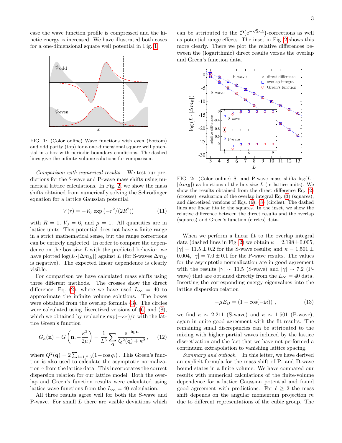case the wave function profile is compressed and the kinetic energy is increased. We have illustrated both cases for a one-dimensional square well potential in Fig. [1.](#page-3-0)



<span id="page-3-0"></span>FIG. 1: (Color online) Wave functions with even (bottom) and odd parity (top) for a one-dimensional square well potential in a box with periodic boundary conditions. The dashed lines give the infinite volume solutions for comparison.

Comparison with numerical results. We test our predictions for the S-wave and P-wave mass shifts using numerical lattice calculations. In Fig. [2,](#page-3-1) we show the mass shifts obtained from numerically solving the Schrödinger equation for a lattice Gaussian potential

<span id="page-3-2"></span>
$$
V(r) = -V_0 \exp(-r^2/(2R^2))
$$
 (11)

with  $R = 1$ ,  $V_0 = 6$ , and  $\mu = 1$ . All quantities are in lattice units. This potential does not have a finite range in a strict mathematical sense, but the range corrections can be entirely neglected. In order to compare the dependence on the box size  $L$  with the predicted behavior, we have plotted log( $L \cdot |\Delta m_B|$ ) against L (for S-waves  $\Delta m_B$ is negative). The expected linear dependence is clearly visible.

For comparison we have calculated mass shifts using three different methods. The crosses show the direct difference, Eq. [\(2\)](#page-1-1), where we have used  $L_{\infty} = 40$  to approximate the infinite volume solutions. The boxes were obtained from the overlap formula [\(3\)](#page-1-0). The circles were calculated using discretized versions of [\(6\)](#page-2-4) and [\(8\)](#page-2-5), which we obtained by replacing  $\exp(-\kappa r)/r$  with the lattice Green's function

$$
G_{\kappa}(\mathbf{n}) = G\left(\mathbf{n}, -\frac{\kappa^2}{2\mu}\right) = \frac{1}{L^3} \sum_{\mathbf{q}} \frac{e^{-i\mathbf{q}\cdot\mathbf{n}}}{Q^2(\mathbf{q}) + \kappa^2},\qquad(12)
$$

where  $Q^2(\mathbf{q}) = 2 \sum_{i=1,2,3} (1 - \cos q_i)$ . This Green's function is also used to calculate the asymptotic normalization  $\gamma$  from the lattice data. This incorporates the correct dispersion relation for our lattice model. Both the overlap and Green's function results were calculated using lattice wave functions from the  $L_{\infty} = 40$  calculation.

All three results agree well for both the S-wave and P-wave. For small  $L$  there are visible deviations which

can be attributed to the  $\mathcal{O}(e^{-\sqrt{2}\kappa L})$ -corrections as well as potential range effects. The inset in Fig. [2](#page-3-1) shows this more clearly. There we plot the relative differences between the (logarithmic) direct results versus the overlap and Green's function data.



<span id="page-3-1"></span>FIG. 2: (Color online) S- and P-wave mass shifts  $log(L \cdot$  $|\Delta m_B|$ ) as functions of the box size L (in lattice units). We show the results obtained from the direct difference Eq. [\(2\)](#page-1-1) (crosses), evaluation of the overlap integral Eq. [\(3\)](#page-1-0) (squares), and discretized versions of Eqs. [\(6\)](#page-2-4), [\(8\)](#page-2-5) (circles). The dashed lines are linear fits to the squares. In the inset, we show the relative difference between the direct results and the overlap (squares) and Green's function (circles) data.

When we perform a linear fit to the overlap integral data (dashed lines in Fig. [2\)](#page-3-1) we obtain  $\kappa = 2.198 \pm 0.005$ ,  $|\gamma| = 11.5 \pm 0.2$  for the S-wave results; and  $\kappa = 1.501 \pm 0.2$ 0.004,  $|\gamma| = 7.0 \pm 0.1$  for the P-wave results. The values for the asymptotic normalization are in good agreement with the results  $|\gamma| \sim 11.5$  (S-wave) and  $|\gamma| \sim 7.2$  (Pwave) that are obtained directly from the  $L_{\infty} = 40$  data. Inserting the corresponding energy eigenvalues into the lattice dispersion relation

$$
-\mu E_B = (1 - \cos(-i\kappa)) , \qquad (13)
$$

we find  $\kappa \sim 2.211$  (S-wave) and  $\kappa \sim 1.501$  (P-wave), again in quite good agreement with the fit results. The remaining small discrepancies can be attributed to the mixing with higher partial waves induced by the lattice discretization and the fact that we have not performed a continuum extrapolation to vanishing lattice spacing.

Summary and outlook. In this letter, we have derived an explicit formula for the mass shift of P- and D-wave bound states in a finite volume. We have compared our results with numerical calculations of the finite-volume dependence for a lattice Gaussian potential and found good agreement with predictions. For  $\ell > 2$  the mass shift depends on the angular momentum projection  $m$ due to different representations of the cubic group. The